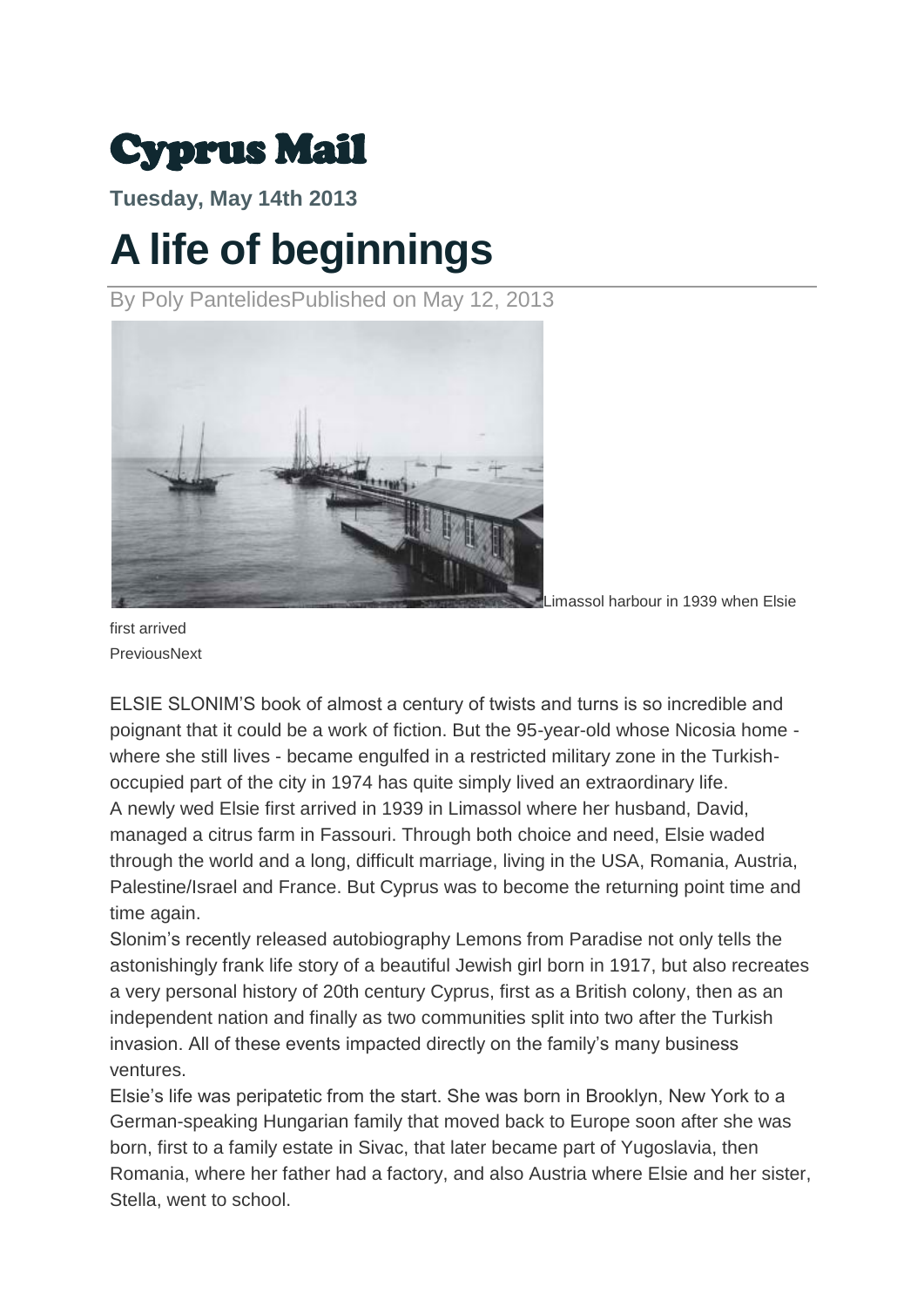## Cyprus Mail

**Tuesday, May 14th 2013**

## **A life of beginnings**

By Poly PantelidesPublished on May 12, 2013



imassol harbour in 1939 when Elsie

first arrived **PreviousNext** 

ELSIE SLONIM'S book of almost a century of twists and turns is so incredible and poignant that it could be a work of fiction. But the 95-year-old whose Nicosia home where she still lives - became engulfed in a restricted military zone in the Turkishoccupied part of the city in 1974 has quite simply lived an extraordinary life. A newly wed Elsie first arrived in 1939 in Limassol where her husband, David, managed a citrus farm in Fassouri. Through both choice and need, Elsie waded through the world and a long, difficult marriage, living in the USA, Romania, Austria, Palestine/Israel and France. But Cyprus was to become the returning point time and time again.

Slonim's recently released autobiography Lemons from Paradise not only tells the astonishingly frank life story of a beautiful Jewish girl born in 1917, but also recreates a very personal history of 20th century Cyprus, first as a British colony, then as an independent nation and finally as two communities split into two after the Turkish invasion. All of these events impacted directly on the family's many business ventures.

Elsie's life was peripatetic from the start. She was born in Brooklyn, New York to a German-speaking Hungarian family that moved back to Europe soon after she was born, first to a family estate in Sivac, that later became part of Yugoslavia, then Romania, where her father had a factory, and also Austria where Elsie and her sister, Stella, went to school.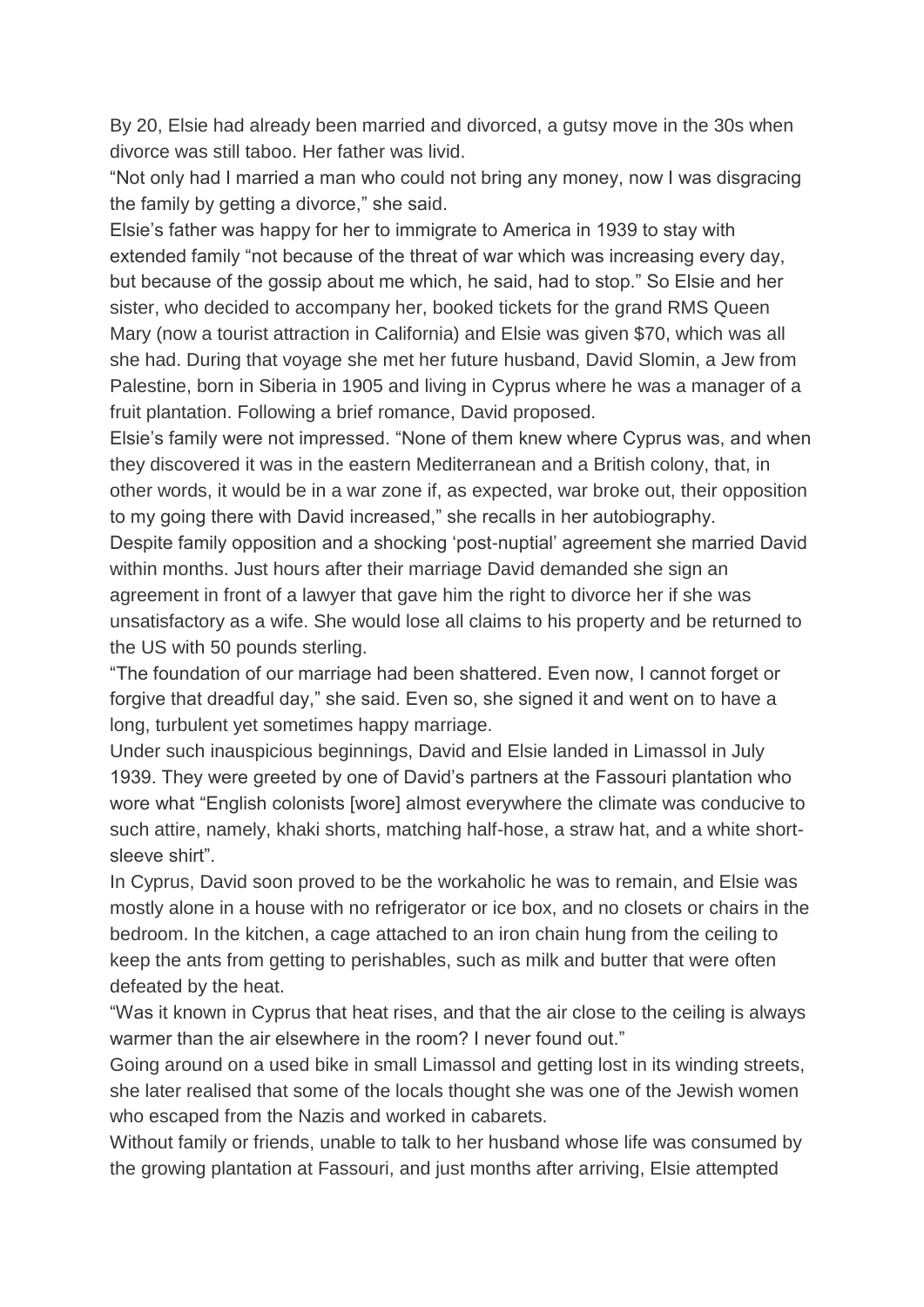By 20, Elsie had already been married and divorced, a gutsy move in the 30s when divorce was still taboo. Her father was livid.

"Not only had I married a man who could not bring any money, now I was disgracing the family by getting a divorce," she said.

Elsie's father was happy for her to immigrate to America in 1939 to stay with extended family "not because of the threat of war which was increasing every day, but because of the gossip about me which, he said, had to stop." So Elsie and her sister, who decided to accompany her, booked tickets for the grand RMS Queen Mary (now a tourist attraction in California) and Elsie was given \$70, which was all she had. During that voyage she met her future husband, David Slomin, a Jew from Palestine, born in Siberia in 1905 and living in Cyprus where he was a manager of a fruit plantation. Following a brief romance, David proposed.

Elsie's family were not impressed. "None of them knew where Cyprus was, and when they discovered it was in the eastern Mediterranean and a British colony, that, in other words, it would be in a war zone if, as expected, war broke out, their opposition to my going there with David increased," she recalls in her autobiography.

Despite family opposition and a shocking 'post-nuptial' agreement she married David within months. Just hours after their marriage David demanded she sign an agreement in front of a lawyer that gave him the right to divorce her if she was unsatisfactory as a wife. She would lose all claims to his property and be returned to the US with 50 pounds sterling.

"The foundation of our marriage had been shattered. Even now, I cannot forget or forgive that dreadful day," she said. Even so, she signed it and went on to have a long, turbulent yet sometimes happy marriage.

Under such inauspicious beginnings, David and Elsie landed in Limassol in July 1939. They were greeted by one of David's partners at the Fassouri plantation who wore what "English colonists [wore] almost everywhere the climate was conducive to such attire, namely, khaki shorts, matching half-hose, a straw hat, and a white shortsleeve shirt".

In Cyprus, David soon proved to be the workaholic he was to remain, and Elsie was mostly alone in a house with no refrigerator or ice box, and no closets or chairs in the bedroom. In the kitchen, a cage attached to an iron chain hung from the ceiling to keep the ants from getting to perishables, such as milk and butter that were often defeated by the heat.

"Was it known in Cyprus that heat rises, and that the air close to the ceiling is always warmer than the air elsewhere in the room? I never found out."

Going around on a used bike in small Limassol and getting lost in its winding streets, she later realised that some of the locals thought she was one of the Jewish women who escaped from the Nazis and worked in cabarets.

Without family or friends, unable to talk to her husband whose life was consumed by the growing plantation at Fassouri, and just months after arriving, Elsie attempted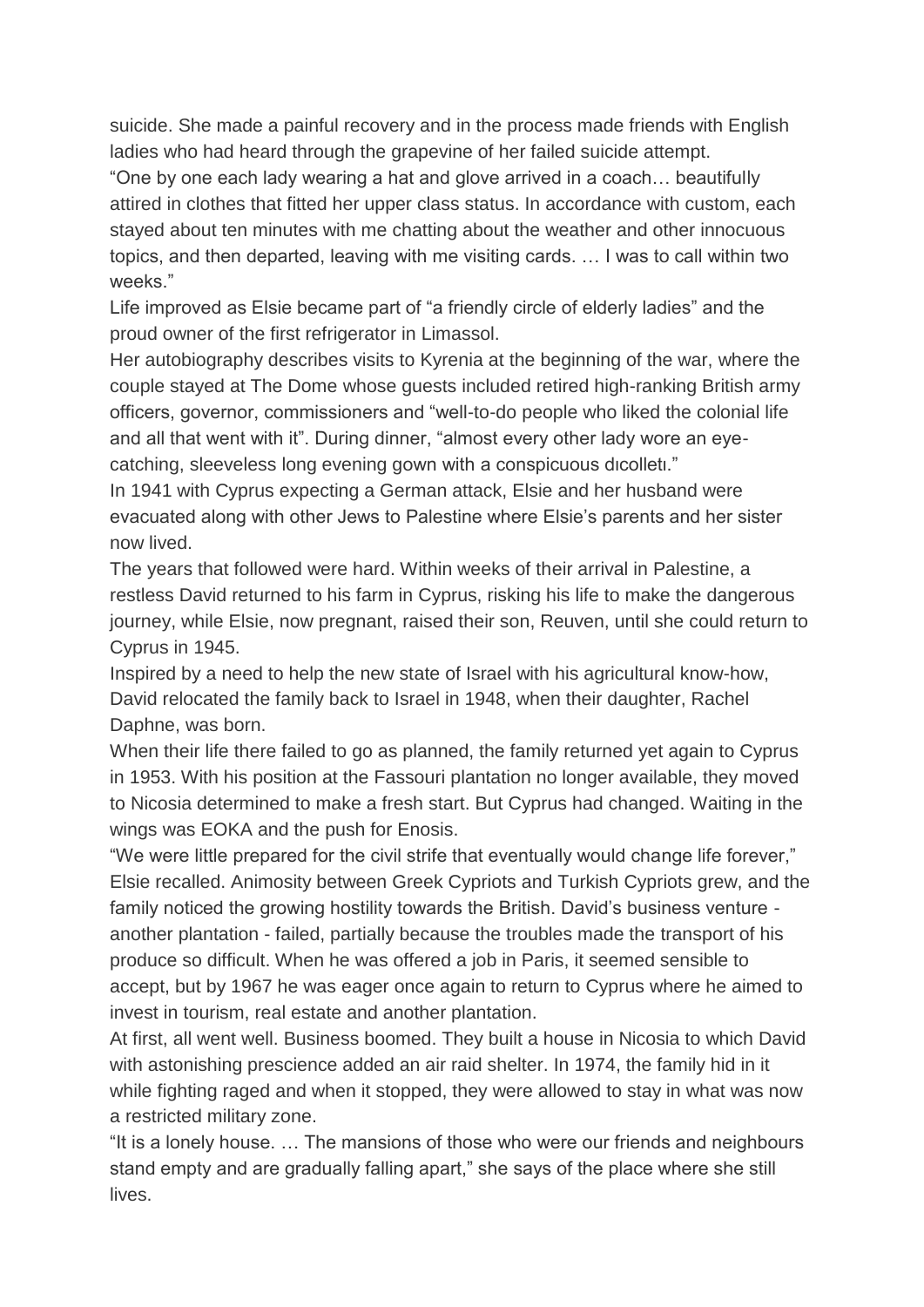suicide. She made a painful recovery and in the process made friends with English ladies who had heard through the grapevine of her failed suicide attempt.

"One by one each lady wearing a hat and glove arrived in a coach… beautifully attired in clothes that fitted her upper class status. In accordance with custom, each stayed about ten minutes with me chatting about the weather and other innocuous topics, and then departed, leaving with me visiting cards. … I was to call within two weeks."

Life improved as Elsie became part of "a friendly circle of elderly ladies" and the proud owner of the first refrigerator in Limassol.

Her autobiography describes visits to Kyrenia at the beginning of the war, where the couple stayed at The Dome whose guests included retired high-ranking British army officers, governor, commissioners and "well-to-do people who liked the colonial life and all that went with it". During dinner, "almost every other lady wore an eyecatching, sleeveless long evening gown with a conspicuous dιcolletι."

In 1941 with Cyprus expecting a German attack, Elsie and her husband were evacuated along with other Jews to Palestine where Elsie's parents and her sister now lived.

The years that followed were hard. Within weeks of their arrival in Palestine, a restless David returned to his farm in Cyprus, risking his life to make the dangerous journey, while Elsie, now pregnant, raised their son, Reuven, until she could return to Cyprus in 1945.

Inspired by a need to help the new state of Israel with his agricultural know-how, David relocated the family back to Israel in 1948, when their daughter, Rachel Daphne, was born.

When their life there failed to go as planned, the family returned yet again to Cyprus in 1953. With his position at the Fassouri plantation no longer available, they moved to Nicosia determined to make a fresh start. But Cyprus had changed. Waiting in the wings was EOKA and the push for Enosis.

"We were little prepared for the civil strife that eventually would change life forever," Elsie recalled. Animosity between Greek Cypriots and Turkish Cypriots grew, and the family noticed the growing hostility towards the British. David's business venture another plantation - failed, partially because the troubles made the transport of his produce so difficult. When he was offered a job in Paris, it seemed sensible to accept, but by 1967 he was eager once again to return to Cyprus where he aimed to invest in tourism, real estate and another plantation.

At first, all went well. Business boomed. They built a house in Nicosia to which David with astonishing prescience added an air raid shelter. In 1974, the family hid in it while fighting raged and when it stopped, they were allowed to stay in what was now a restricted military zone.

"It is a lonely house. … The mansions of those who were our friends and neighbours stand empty and are gradually falling apart," she says of the place where she still lives.